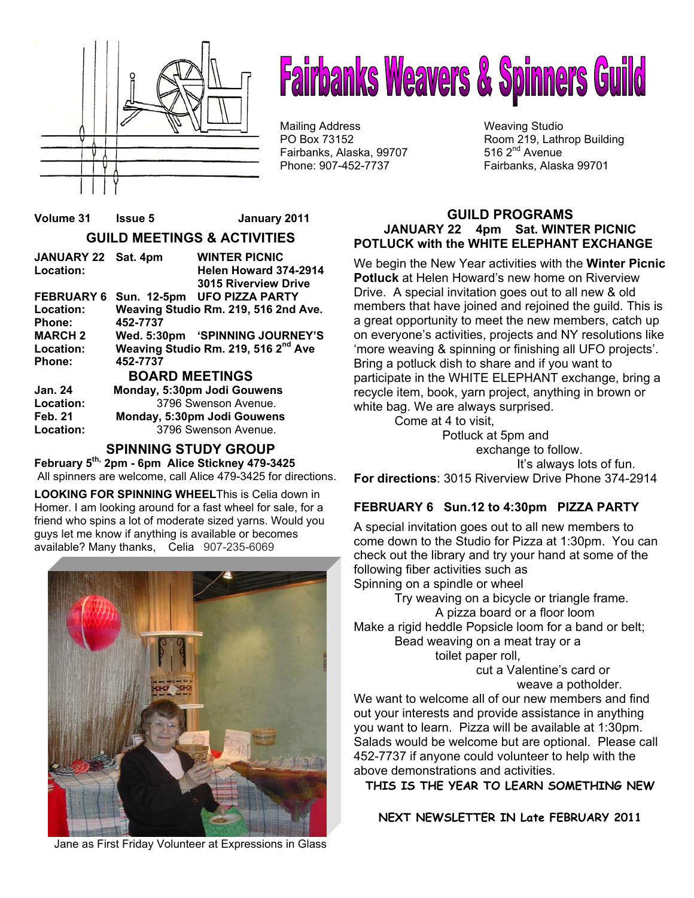

# **Fairbanks Weavers & Spinners Guild**

Mailing Address Weaving Studio Fairbanks, Alaska, 99707 Phone: 907-452-7737 Fairbanks, Alaska 99701

PO Box 73152 Room 219, Lathrop Building<br>
Fairbanks. Alaska. 99707 516 2<sup>nd</sup> Avenue

#### **GUILD PROGRAMS JANUARY 22 4pm Sat. WINTER PICNIC POTLUCK with the WHITE ELEPHANT EXCHANGE**

We begin the New Year activities with the **Winter Picnic Potluck** at Helen Howard's new home on Riverview Drive. A special invitation goes out to all new & old members that have joined and rejoined the guild. This is a great opportunity to meet the new members, catch up on everyone's activities, projects and NY resolutions like 'more weaving & spinning or finishing all UFO projects'. Bring a potluck dish to share and if you want to participate in the WHITE ELEPHANT exchange, bring a recycle item, book, yarn project, anything in brown or white bag. We are always surprised.

Come at 4 to visit,

 Potluck at 5pm and exchange to follow. It's always lots of fun. **For directions**: 3015 Riverview Drive Phone 374-2914

#### **FEBRUARY 6 Sun.12 to 4:30pm PIZZA PARTY**

A special invitation goes out to all new members to come down to the Studio for Pizza at 1:30pm. You can check out the library and try your hand at some of the following fiber activities such as Spinning on a spindle or wheel

 Try weaving on a bicycle or triangle frame. A pizza board or a floor loom Make a rigid heddle Popsicle loom for a band or belt; Bead weaving on a meat tray or a toilet paper roll,

> cut a Valentine's card or weave a potholder.

We want to welcome all of our new members and find out your interests and provide assistance in anything you want to learn. Pizza will be available at 1:30pm. Salads would be welcome but are optional. Please call 452-7737 if anyone could volunteer to help with the above demonstrations and activities.

**THIS IS THE YEAR TO LEARN SOMETHING NEW** 

**NEXT NEWSLETTER IN Late FEBRUARY 2011** 

#### **GUILD MEETINGS & ACTIVITIES**

**Volume 31 Issue 5 January 2011** 

| JANUARY 22 Sat. 4pm   |                                      | <b>WINTER PICNIC</b>                            |  |  |
|-----------------------|--------------------------------------|-------------------------------------------------|--|--|
| Location:             |                                      | Helen Howard 374-2914                           |  |  |
|                       |                                      | <b>3015 Riverview Drive</b>                     |  |  |
| <b>FEBRUARY 6</b>     |                                      | Sun. 12-5pm UFO PIZZA PARTY                     |  |  |
| Location:             | Weaving Studio Rm. 219, 516 2nd Ave. |                                                 |  |  |
| <b>Phone:</b>         | 452-7737                             |                                                 |  |  |
| <b>MARCH 2</b>        |                                      | Wed. 5:30pm 'SPINNING JOURNEY'S                 |  |  |
| Location:             |                                      | Weaving Studio Rm. 219, 516 2 <sup>nd</sup> Ave |  |  |
| Phone:                | 452-7737                             |                                                 |  |  |
| <b>BOARD MEETINGS</b> |                                      |                                                 |  |  |
| <b>Jan. 24</b>        | Monday, 5:30pm Jodi Gouwens          |                                                 |  |  |
| Location:             | 3796 Swenson Avenue.                 |                                                 |  |  |
| <b>Feb. 21</b>        | Monday, 5:30pm Jodi Gouwens          |                                                 |  |  |

**Location:** 3796 Swenson Avenue.

#### **SPINNING STUDY GROUP**

**February 5th, 2pm - 6pm Alice Stickney 479-3425**  All spinners are welcome, call Alice 479-3425 for directions.

**LOOKING FOR SPINNING WHEEL**This is Celia down in Homer. I am looking around for a fast wheel for sale, for a friend who spins a lot of moderate sized yarns. Would you guys let me know if anything is available or becomes available? Many thanks,Celia 907-235-6069



Jane as First Friday Volunteer at Expressions in Glass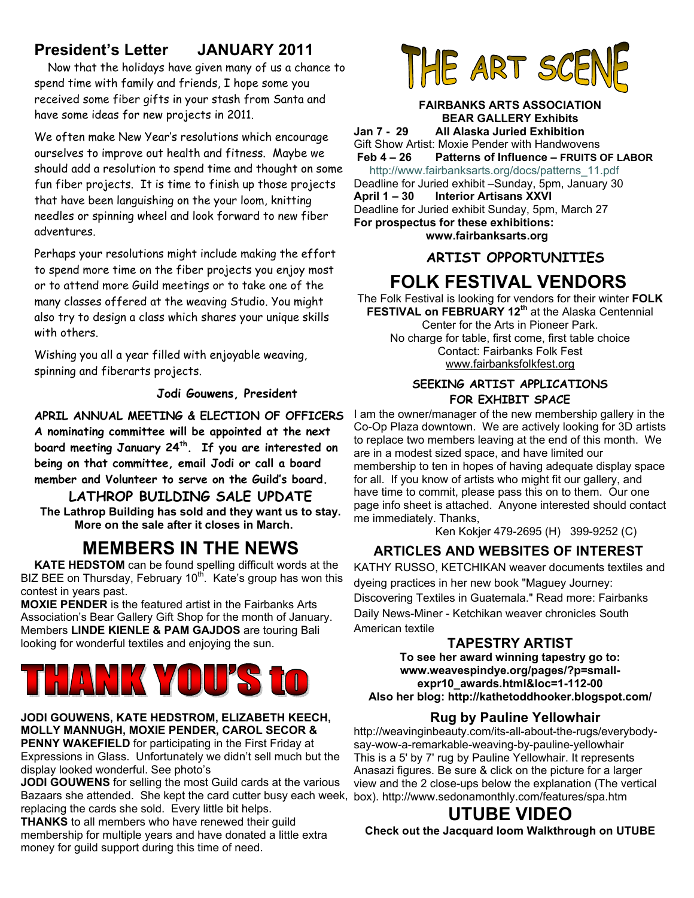### **President's Letter JANUARY 2011**

 Now that the holidays have given many of us a chance to spend time with family and friends, I hope some you received some fiber gifts in your stash from Santa and have some ideas for new projects in 2011.

We often make New Year's resolutions which encourage ourselves to improve out health and fitness. Maybe we should add a resolution to spend time and thought on some fun fiber projects. It is time to finish up those projects that have been languishing on the your loom, knitting needles or spinning wheel and look forward to new fiber adventures.

Perhaps your resolutions might include making the effort to spend more time on the fiber projects you enjoy most or to attend more Guild meetings or to take one of the many classes offered at the weaving Studio. You might also try to design a class which shares your unique skills with others.

Wishing you all a year filled with enjoyable weaving, spinning and fiberarts projects.

 **Jodi Gouwens, President**

**APRIL ANNUAL MEETING & ELECTION OF OFFICERS A nominating committee will be appointed at the next board meeting January 24th. If you are interested on being on that committee, email Jodi or call a board member and Volunteer to serve on the Guild's board.** 

**LATHROP BUILDING SALE UPDATE The Lathrop Building has sold and they want us to stay. More on the sale after it closes in March.** 

## **MEMBERS IN THE NEWS**

**KATE HEDSTOM** can be found spelling difficult words at the BIZ BEE on Thursday, February 10<sup>th</sup>. Kate's group has won this contest in years past.

**MOXIE PENDER** is the featured artist in the Fairbanks Arts Association's Bear Gallery Gift Shop for the month of January. Members **LINDE KIENLE & PAM GAJDOS** are touring Bali looking for wonderful textiles and enjoying the sun.

## ANK YOU?

#### **JODI GOUWENS, KATE HEDSTROM, ELIZABETH KEECH, MOLLY MANNUGH, MOXIE PENDER, CAROL SECOR & PENNY WAKEFIELD** for participating in the First Friday at

Expressions in Glass. Unfortunately we didn't sell much but the display looked wonderful. See photo's

**JODI GOUWENS** for selling the most Guild cards at the various Bazaars she attended. She kept the card cutter busy each week, box). http://www.sedonamonthly.com/features/spa.htm replacing the cards she sold. Every little bit helps.

**THANKS** to all members who have renewed their guild membership for multiple years and have donated a little extra money for guild support during this time of need.



#### **FAIRBANKS ARTS ASSOCIATION BEAR GALLERY Exhibits**

**Jan 7 - 29 All Alaska Juried Exhibition**  Gift Show Artist: Moxie Pender with Handwovens  **Feb 4 – 26 Patterns of Influence – FRUITS OF LABOR** http://www.fairbanksarts.org/docs/patterns\_11.pdf Deadline for Juried exhibit –Sunday, 5pm, January 30

**April 1 – 30 Interior Artisans XXVI**  Deadline for Juried exhibit Sunday, 5pm, March 27 **For prospectus for these exhibitions: www.fairbanksarts.org** 

#### **ARTIST OPPORTUNITIES**

## **FOLK FESTIVAL VENDORS**

The Folk Festival is looking for vendors for their winter **FOLK FESTIVAL on FEBRUARY 12th** at the Alaska Centennial Center for the Arts in Pioneer Park. No charge for table, first come, first table choice Contact: Fairbanks Folk Fest www.fairbanksfolkfest.org

#### **SEEKING ARTIST APPLICATIONS FOR EXHIBIT SPACE**

I am the owner/manager of the new membership gallery in the Co-Op Plaza downtown. We are actively looking for 3D artists to replace two members leaving at the end of this month. We are in a modest sized space, and have limited our membership to ten in hopes of having adequate display space for all. If you know of artists who might fit our gallery, and have time to commit, please pass this on to them. Our one page info sheet is attached. Anyone interested should contact me immediately. Thanks,

Ken Kokjer 479-2695 (H) 399-9252 (C)

#### **ARTICLES AND WEBSITES OF INTEREST**

KATHY RUSSO, KETCHIKAN weaver documents textiles and dyeing practices in her new book "Maguey Journey: Discovering Textiles in Guatemala." Read more: Fairbanks Daily News-Miner - Ketchikan weaver chronicles South American textile

#### **TAPESTRY ARTIST**

**To see her award winning tapestry go to: www.weavespindye.org/pages/?p=smallexpr10\_awards.html&loc=1-112-00 Also her blog: http://kathetoddhooker.blogspot.com/** 

#### **Rug by Pauline Yellowhair**

http://weavinginbeauty.com/its-all-about-the-rugs/everybodysay-wow-a-remarkable-weaving-by-pauline-yellowhair This is a 5' by 7' rug by Pauline Yellowhair. It represents Anasazi figures. Be sure & click on the picture for a larger view and the 2 close-ups below the explanation (The vertical

## **UTUBE VIDEO**

**Check out the Jacquard loom Walkthrough on UTUBE**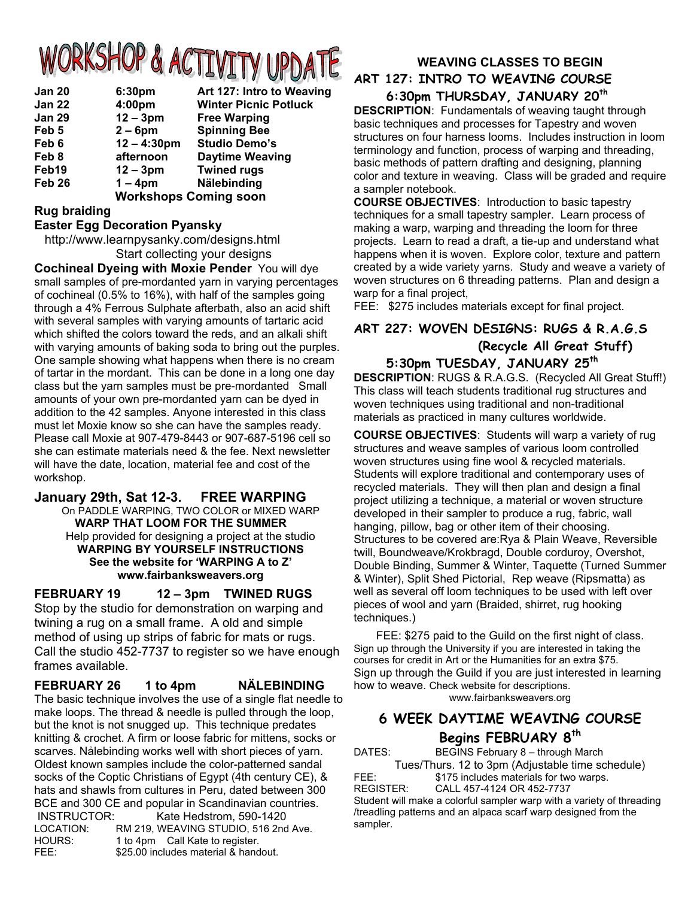## ORKSHOP & ACTIVITY UPDATE

| <b>Jan 20</b>     | 6:30pm        | Art 127: Intro to Weaving    |
|-------------------|---------------|------------------------------|
| <b>Jan 22</b>     | 4:00pm        | <b>Winter Picnic Potluck</b> |
| <b>Jan 29</b>     | $12 - 3pm$    | <b>Free Warping</b>          |
| Feb 5             | $2 - 6$ pm    | <b>Spinning Bee</b>          |
| Feb 6             | $12 - 4:30pm$ | <b>Studio Demo's</b>         |
| Feb 8             | afternoon     | <b>Daytime Weaving</b>       |
| Feb19             | $12 - 3pm$    | <b>Twined rugs</b>           |
| Feb <sub>26</sub> | $1 - 4pm$     | Nälebinding                  |
|                   |               | <b>Workshops Coming soon</b> |

#### **Rug braiding**

#### **Easter Egg Decoration Pyansky**

 http://www.learnpysanky.com/designs.html Start collecting your designs

**Cochineal Dyeing with Moxie Pender** You will dye small samples of pre-mordanted yarn in varying percentages of cochineal (0.5% to 16%), with half of the samples going through a 4% Ferrous Sulphate afterbath, also an acid shift with several samples with varying amounts of tartaric acid which shifted the colors toward the reds, and an alkali shift with varying amounts of baking soda to bring out the purples. One sample showing what happens when there is no cream of tartar in the mordant. This can be done in a long one day class but the yarn samples must be pre-mordanted Small amounts of your own pre-mordanted yarn can be dyed in addition to the 42 samples. Anyone interested in this class must let Moxie know so she can have the samples ready. Please call Moxie at 907-479-8443 or 907-687-5196 cell so she can estimate materials need & the fee. Next newsletter will have the date, location, material fee and cost of the workshop.

#### **January 29th, Sat 12-3. FREE WARPING**

On PADDLE WARPING, TWO COLOR or MIXED WARP **WARP THAT LOOM FOR THE SUMMER**  Help provided for designing a project at the studio **WARPING BY YOURSELF INSTRUCTIONS See the website for 'WARPING A to Z' www.fairbanksweavers.org**

#### **FEBRUARY 19 12 – 3pm TWINED RUGS**

Stop by the studio for demonstration on warping and twining a rug on a small frame. A old and simple method of using up strips of fabric for mats or rugs. Call the studio 452-7737 to register so we have enough frames available.

#### **FEBRUARY 26 1 to 4pm NÄLEBINDING**

The basic technique involves the use of a single flat needle to make loops. The thread & needle is pulled through the loop, but the knot is not snugged up. This technique predates knitting & crochet. A firm or loose fabric for mittens, socks or scarves. Nålebinding works well with short pieces of yarn. Oldest kn socks of hats and shawls from cultures in Peru, dated between 300 BCE and 300 CE and popular in Scandinavian countries. INSTRUCTOR: Kate Hedstrom, 590-1420 LOCATION: RM 219, WEAVING STUDIO, 516 2nd Ave.

| nown samples include the color-patterned sandal                                                                                                                                                                                                                                                                                                                                                                                                                                            |
|--------------------------------------------------------------------------------------------------------------------------------------------------------------------------------------------------------------------------------------------------------------------------------------------------------------------------------------------------------------------------------------------------------------------------------------------------------------------------------------------|
| the Coptic Christians of Egypt (4th century CE), &                                                                                                                                                                                                                                                                                                                                                                                                                                         |
| $\blacksquare$ $\blacksquare$ $\blacksquare$ $\blacksquare$ $\blacksquare$ $\blacksquare$ $\blacksquare$ $\blacksquare$ $\blacksquare$ $\blacksquare$ $\blacksquare$ $\blacksquare$ $\blacksquare$ $\blacksquare$ $\blacksquare$ $\blacksquare$ $\blacksquare$ $\blacksquare$ $\blacksquare$ $\blacksquare$ $\blacksquare$ $\blacksquare$ $\blacksquare$ $\blacksquare$ $\blacksquare$ $\blacksquare$ $\blacksquare$ $\blacksquare$ $\blacksquare$ $\blacksquare$ $\blacksquare$ $\blacks$ |

## HOURS: 1 to 4pm Call Kate to register. FEE: \$25.00 includes material & handout.

#### **WEAVING CLASSES TO BEGIN ART 127: INTRO TO WEAVING COURSE 6:30pm THURSDAY, JANUARY 20th**

**DESCRIPTION**: Fundamentals of weaving taught through basic techniques and processes for Tapestry and woven structures on four harness looms. Includes instruction in loom terminology and function, process of warping and threading, basic methods of pattern drafting and designing, planning color and texture in weaving. Class will be graded and require a sampler notebook.

**COURSE OBJECTIVES**: Introduction to basic tapestry techniques for a small tapestry sampler. Learn process of making a warp, warping and threading the loom for three projects. Learn to read a draft, a tie-up and understand what happens when it is woven. Explore color, texture and pattern created by a wide variety yarns. Study and weave a variety of woven structures on 6 threading patterns. Plan and design a warp for a final project,

FEE: \$275 includes materials except for final project.

#### **ART 227: WOVEN DESIGNS: RUGS & R.A.G.S (Recycle All Great Stuff) 5:30pm TUESDAY, JANUARY 25th**

**DESCRIPTION**: RUGS & R.A.G.S. (Recycled All Great Stuff!) This class will teach students traditional rug structures and woven techniques using traditional and non-traditional materials as practiced in many cultures worldwide.

**COURSE OBJECTIVES**: Students will warp a variety of rug structures and weave samples of various loom controlled woven structures using fine wool & recycled materials. Students will explore traditional and contemporary uses of recycled materials. They will then plan and design a final project utilizing a technique, a material or woven structure developed in their sampler to produce a rug, fabric, wall hanging, pillow, bag or other item of their choosing. Structures to be covered are:Rya & Plain Weave, Reversible twill, Boundweave/Krokbragd, Double corduroy, Overshot, Double Binding, Summer & Winter, Taquette (Turned Summer & Winter), Split Shed Pictorial, Rep weave (Ripsmatta) as well as several off loom techniques to be used with left over pieces of wool and yarn (Braided, shirret, rug hooking techniques.)

FEE: \$275 paid to the Guild on the first night of class. Sign up through the University if you are interested in taking the courses for credit in Art or the Humanities for an extra \$75. Sign up through the Guild if you are just interested in learning how to weave. Check website for descriptions. www.fairbanksweavers.org

### **6 WEEK DAYTIME WEAVING COURSE Begins FEBRUARY 8th**

DATES: BEGINS February 8 – through March Tues/Thurs. 12 to 3pm (Adjustable time schedule) FEE: \$175 includes materials for two warps. REGISTER: CALL 457-4124 OR 452-7737 Student will make a colorful sampler warp with a variety of threading /treadling patterns and an alpaca scarf warp designed from the sampler.